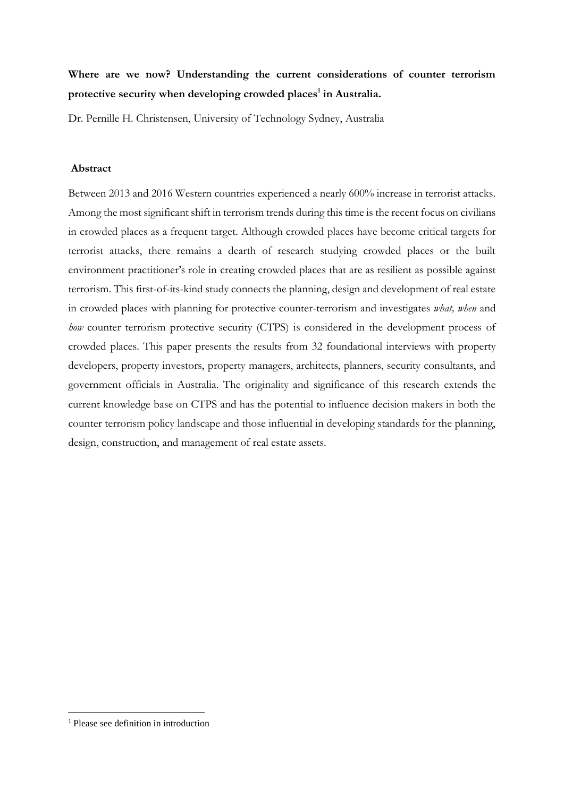# **Where are we now? Understanding the current considerations of counter terrorism protective security when developing crowded places<sup>1</sup> in Australia.**

Dr. Pernille H. Christensen, University of Technology Sydney, Australia

## **Abstract**

Between 2013 and 2016 Western countries experienced a nearly 600% increase in terrorist attacks. Among the most significant shift in terrorism trends during this time is the recent focus on civilians in crowded places as a frequent target. Although crowded places have become critical targets for terrorist attacks, there remains a dearth of research studying crowded places or the built environment practitioner's role in creating crowded places that are as resilient as possible against terrorism. This first-of-its-kind study connects the planning, design and development of real estate in crowded places with planning for protective counter-terrorism and investigates *what, when* and *how* counter terrorism protective security (CTPS) is considered in the development process of crowded places. This paper presents the results from 32 foundational interviews with property developers, property investors, property managers, architects, planners, security consultants, and government officials in Australia. The originality and significance of this research extends the current knowledge base on CTPS and has the potential to influence decision makers in both the counter terrorism policy landscape and those influential in developing standards for the planning, design, construction, and management of real estate assets.

**.** 

<sup>1</sup> Please see definition in introduction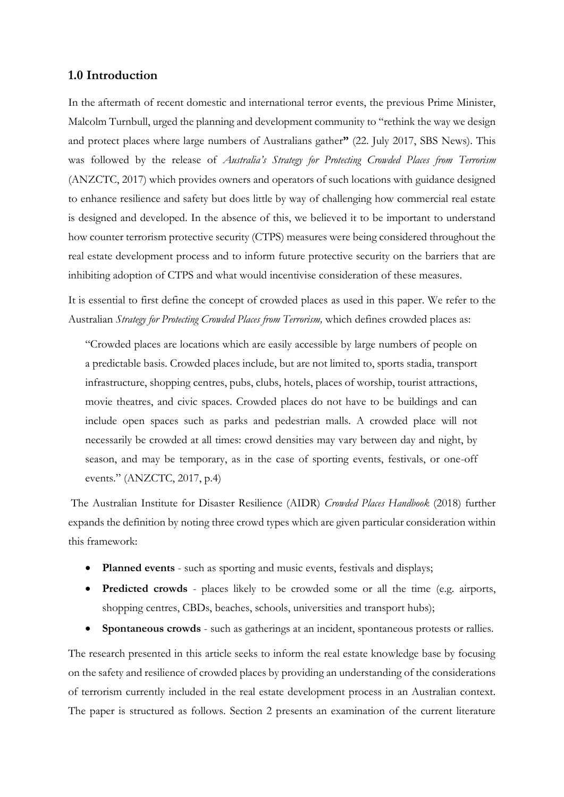# **1.0 Introduction**

In the aftermath of recent domestic and international terror events, the previous Prime Minister, Malcolm Turnbull, urged the planning and development community to "rethink the way we design and protect places where large numbers of Australians gather**"** (22. July 2017, SBS News). This was followed by the release of *Australia's Strategy for Protecting Crowded Places from Terrorism* (ANZCTC, 2017) which provides owners and operators of such locations with guidance designed to enhance resilience and safety but does little by way of challenging how commercial real estate is designed and developed. In the absence of this, we believed it to be important to understand how counter terrorism protective security (CTPS) measures were being considered throughout the real estate development process and to inform future protective security on the barriers that are inhibiting adoption of CTPS and what would incentivise consideration of these measures.

It is essential to first define the concept of crowded places as used in this paper. We refer to the Australian *Strategy for Protecting Crowded Places from Terrorism,* which defines crowded places as:

"Crowded places are locations which are easily accessible by large numbers of people on a predictable basis. Crowded places include, but are not limited to, sports stadia, transport infrastructure, shopping centres, pubs, clubs, hotels, places of worship, tourist attractions, movie theatres, and civic spaces. Crowded places do not have to be buildings and can include open spaces such as parks and pedestrian malls. A crowded place will not necessarily be crowded at all times: crowd densities may vary between day and night, by season, and may be temporary, as in the case of sporting events, festivals, or one-off events." (ANZCTC, 2017, p.4)

The Australian Institute for Disaster Resilience (AIDR) *Crowded Places Handbook* (2018) further expands the definition by noting three crowd types which are given particular consideration within this framework:

- **Planned events** such as sporting and music events, festivals and displays;
- **Predicted crowds** places likely to be crowded some or all the time (e.g. airports, shopping centres, CBDs, beaches, schools, universities and transport hubs);
- **Spontaneous crowds** such as gatherings at an incident, spontaneous protests or rallies.

The research presented in this article seeks to inform the real estate knowledge base by focusing on the safety and resilience of crowded places by providing an understanding of the considerations of terrorism currently included in the real estate development process in an Australian context. The paper is structured as follows. Section 2 presents an examination of the current literature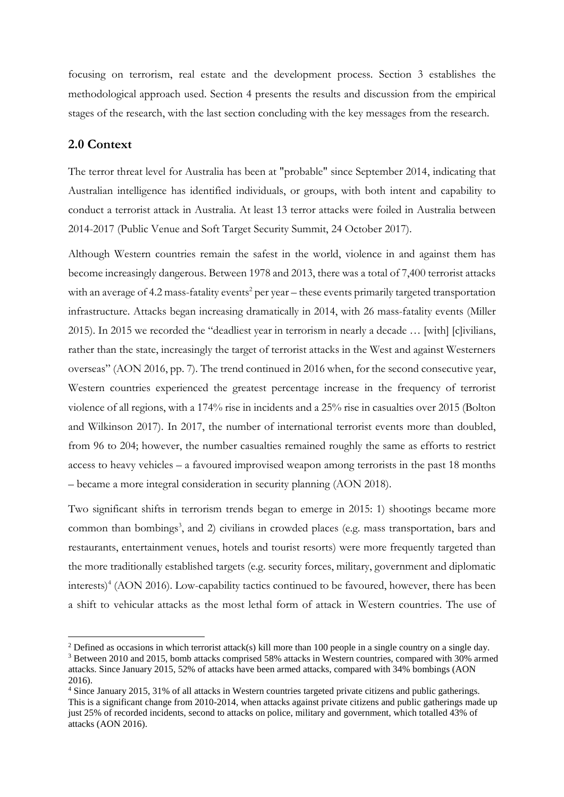focusing on terrorism, real estate and the development process. Section 3 establishes the methodological approach used. Section 4 presents the results and discussion from the empirical stages of the research, with the last section concluding with the key messages from the research.

## **2.0 Context**

1

The terror threat level for Australia has been at "probable" since September 2014, indicating that Australian intelligence has identified individuals, or groups, with both intent and capability to conduct a terrorist attack in Australia. At least 13 terror attacks were foiled in Australia between 2014-2017 (Public Venue and Soft Target Security Summit, 24 October 2017).

Although Western countries remain the safest in the world, violence in and against them has become increasingly dangerous. Between 1978 and 2013, there was a total of 7,400 terrorist attacks with an average of 4.2 mass-fatality events<sup>2</sup> per year – these events primarily targeted transportation infrastructure. Attacks began increasing dramatically in 2014, with 26 mass-fatality events (Miller 2015). In 2015 we recorded the "deadliest year in terrorism in nearly a decade … [with] [c]ivilians, rather than the state, increasingly the target of terrorist attacks in the West and against Westerners overseas" (AON 2016, pp. 7). The trend continued in 2016 when, for the second consecutive year, Western countries experienced the greatest percentage increase in the frequency of terrorist violence of all regions, with a 174% rise in incidents and a 25% rise in casualties over 2015 (Bolton and Wilkinson 2017). In 2017, the number of international terrorist events more than doubled, from 96 to 204; however, the number casualties remained roughly the same as efforts to restrict access to heavy vehicles – a favoured improvised weapon among terrorists in the past 18 months – became a more integral consideration in security planning (AON 2018).

Two significant shifts in terrorism trends began to emerge in 2015: 1) shootings became more common than bombings<sup>3</sup>, and 2) civilians in crowded places (e.g. mass transportation, bars and restaurants, entertainment venues, hotels and tourist resorts) were more frequently targeted than the more traditionally established targets (e.g. security forces, military, government and diplomatic interests) 4 (AON 2016). Low-capability tactics continued to be favoured, however, there has been a shift to vehicular attacks as the most lethal form of attack in Western countries. The use of

<sup>&</sup>lt;sup>2</sup> Defined as occasions in which terrorist attack(s) kill more than 100 people in a single country on a single day.

<sup>3</sup> Between 2010 and 2015, bomb attacks comprised 58% attacks in Western countries, compared with 30% armed attacks. Since January 2015, 52% of attacks have been armed attacks, compared with 34% bombings (AON 2016).

<sup>4</sup> Since January 2015, 31% of all attacks in Western countries targeted private citizens and public gatherings. This is a significant change from 2010-2014, when attacks against private citizens and public gatherings made up just 25% of recorded incidents, second to attacks on police, military and government, which totalled 43% of attacks (AON 2016).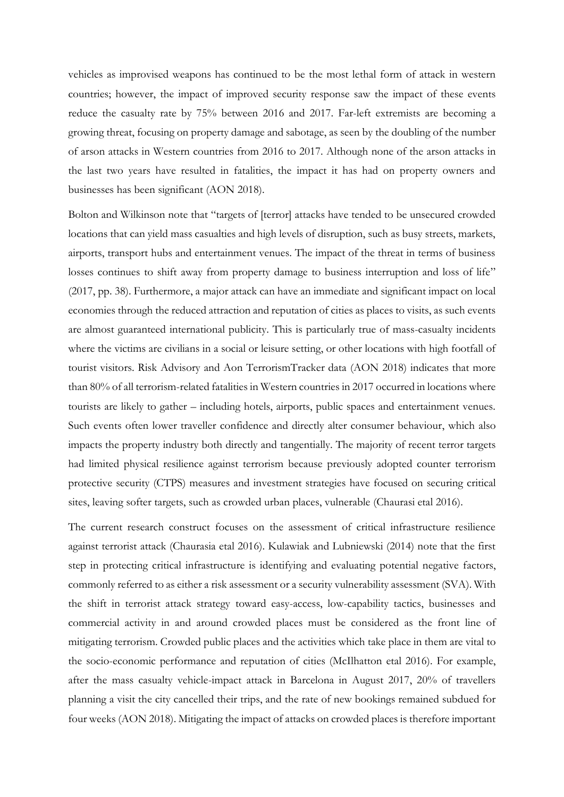vehicles as improvised weapons has continued to be the most lethal form of attack in western countries; however, the impact of improved security response saw the impact of these events reduce the casualty rate by 75% between 2016 and 2017. Far-left extremists are becoming a growing threat, focusing on property damage and sabotage, as seen by the doubling of the number of arson attacks in Western countries from 2016 to 2017. Although none of the arson attacks in the last two years have resulted in fatalities, the impact it has had on property owners and businesses has been significant (AON 2018).

Bolton and Wilkinson note that "targets of [terror] attacks have tended to be unsecured crowded locations that can yield mass casualties and high levels of disruption, such as busy streets, markets, airports, transport hubs and entertainment venues. The impact of the threat in terms of business losses continues to shift away from property damage to business interruption and loss of life" (2017, pp. 38). Furthermore, a major attack can have an immediate and significant impact on local economies through the reduced attraction and reputation of cities as places to visits, as such events are almost guaranteed international publicity. This is particularly true of mass-casualty incidents where the victims are civilians in a social or leisure setting, or other locations with high footfall of tourist visitors. Risk Advisory and Aon TerrorismTracker data (AON 2018) indicates that more than 80% of all terrorism-related fatalities in Western countries in 2017 occurred in locations where tourists are likely to gather – including hotels, airports, public spaces and entertainment venues. Such events often lower traveller confidence and directly alter consumer behaviour, which also impacts the property industry both directly and tangentially. The majority of recent terror targets had limited physical resilience against terrorism because previously adopted counter terrorism protective security (CTPS) measures and investment strategies have focused on securing critical sites, leaving softer targets, such as crowded urban places, vulnerable (Chaurasi etal 2016).

The current research construct focuses on the assessment of critical infrastructure resilience against terrorist attack (Chaurasia etal 2016). Kulawiak and Lubniewski (2014) note that the first step in protecting critical infrastructure is identifying and evaluating potential negative factors, commonly referred to as either a risk assessment or a security vulnerability assessment (SVA). With the shift in terrorist attack strategy toward easy-access, low-capability tactics, businesses and commercial activity in and around crowded places must be considered as the front line of mitigating terrorism. Crowded public places and the activities which take place in them are vital to the socio-economic performance and reputation of cities (McIlhatton etal 2016). For example, after the mass casualty vehicle-impact attack in Barcelona in August 2017, 20% of travellers planning a visit the city cancelled their trips, and the rate of new bookings remained subdued for four weeks (AON 2018). Mitigating the impact of attacks on crowded places is therefore important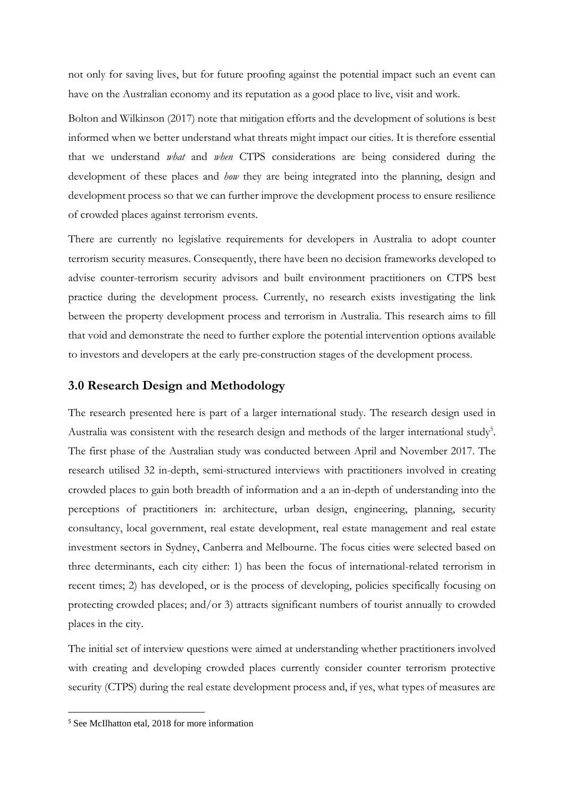not only for saving lives, but for future proofing against the potential impact such an event can have on the Australian economy and its reputation as a good place to live, visit and work.

Bolton and Wilkinson (2017) note that mitigation efforts and the development of solutions is best informed when we better understand what threats might impact our cities. It is therefore essential that we understand *what* and *when* CTPS considerations are being considered during the development of these places and *how* they are being integrated into the planning, design and development process so that we can further improve the development process to ensure resilience of crowded places against terrorism events.

There are currently no legislative requirements for developers in Australia to adopt counter terrorism security measures. Consequently, there have been no decision frameworks developed to advise counter-terrorism security advisors and built environment practitioners on CTPS best practice during the development process. Currently, no research exists investigating the link between the property development process and terrorism in Australia. This research aims to fill that void and demonstrate the need to further explore the potential intervention options available to investors and developers at the early pre-construction stages of the development process.

# **3.0 Research Design and Methodology**

The research presented here is part of a larger international study. The research design used in Australia was consistent with the research design and methods of the larger international study<sup>5</sup>. The first phase of the Australian study was conducted between April and November 2017. The research utilised 32 in-depth, semi-structured interviews with practitioners involved in creating crowded places to gain both breadth of information and a an in-depth of understanding into the perceptions of practitioners in: architecture, urban design, engineering, planning, security consultancy, local government, real estate development, real estate management and real estate investment sectors in Sydney, Canberra and Melbourne. The focus cities were selected based on three determinants, each city either: 1) has been the focus of international-related terrorism in recent times; 2) has developed, or is the process of developing, policies specifically focusing on protecting crowded places; and/or 3) attracts significant numbers of tourist annually to crowded places in the city.

The initial set of interview questions were aimed at understanding whether practitioners involved with creating and developing crowded places currently consider counter terrorism protective security (CTPS) during the real estate development process and, if yes, what types of measures are

**.** 

<sup>5</sup> See McIlhatton etal, 2018 for more information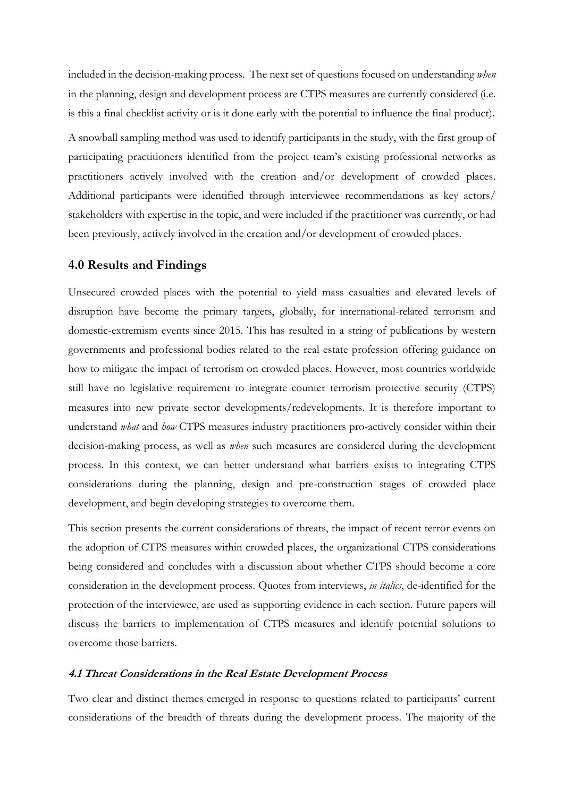included in the decision-making process. The next set of questions focused on understanding *when*  in the planning, design and development process are CTPS measures are currently considered (i.e. is this a final checklist activity or is it done early with the potential to influence the final product).

A snowball sampling method was used to identify participants in the study, with the first group of participating practitioners identified from the project team's existing professional networks as practitioners actively involved with the creation and/or development of crowded places. Additional participants were identified through interviewee recommendations as key actors/ stakeholders with expertise in the topic, and were included if the practitioner was currently, or had been previously, actively involved in the creation and/or development of crowded places.

## **4.0 Results and Findings**

Unsecured crowded places with the potential to yield mass casualties and elevated levels of disruption have become the primary targets, globally, for international-related terrorism and domestic-extremism events since 2015. This has resulted in a string of publications by western governments and professional bodies related to the real estate profession offering guidance on how to mitigate the impact of terrorism on crowded places. However, most countries worldwide still have no legislative requirement to integrate counter terrorism protective security (CTPS) measures into new private sector developments/redevelopments. It is therefore important to understand *what* and *how* CTPS measures industry practitioners pro-actively consider within their decision-making process, as well as *when* such measures are considered during the development process. In this context, we can better understand what barriers exists to integrating CTPS considerations during the planning, design and pre-construction stages of crowded place development, and begin developing strategies to overcome them.

This section presents the current considerations of threats, the impact of recent terror events on the adoption of CTPS measures within crowded places, the organizational CTPS considerations being considered and concludes with a discussion about whether CTPS should become a core consideration in the development process. Quotes from interviews, *in italics*, de-identified for the protection of the interviewee, are used as supporting evidence in each section. Future papers will discuss the barriers to implementation of CTPS measures and identify potential solutions to overcome those barriers.

#### **4.1 Threat Considerations in the Real Estate Development Process**

Two clear and distinct themes emerged in response to questions related to participants' current considerations of the breadth of threats during the development process. The majority of the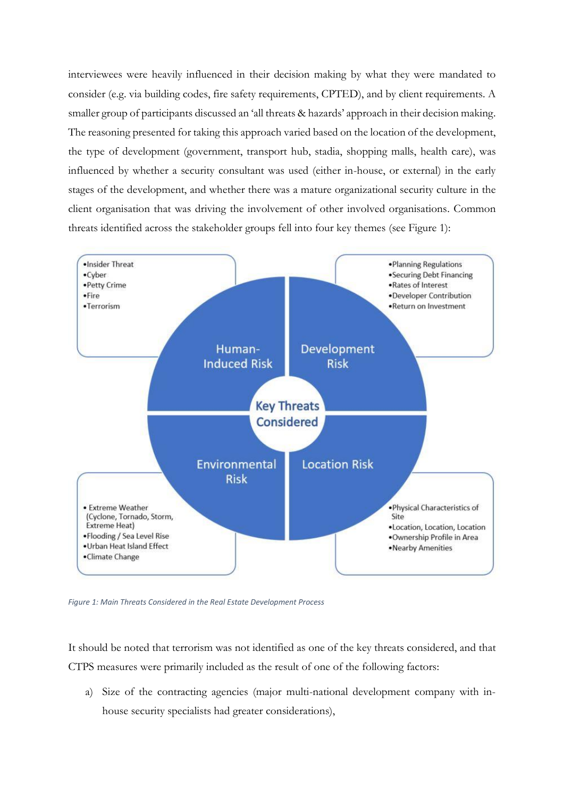interviewees were heavily influenced in their decision making by what they were mandated to consider (e.g. via building codes, fire safety requirements, CPTED), and by client requirements. A smaller group of participants discussed an 'all threats & hazards' approach in their decision making. The reasoning presented for taking this approach varied based on the location of the development, the type of development (government, transport hub, stadia, shopping malls, health care), was influenced by whether a security consultant was used (either in-house, or external) in the early stages of the development, and whether there was a mature organizational security culture in the client organisation that was driving the involvement of other involved organisations. Common threats identified across the stakeholder groups fell into four key themes (see Figure 1):



*Figure 1: Main Threats Considered in the Real Estate Development Process*

It should be noted that terrorism was not identified as one of the key threats considered, and that CTPS measures were primarily included as the result of one of the following factors:

a) Size of the contracting agencies (major multi-national development company with inhouse security specialists had greater considerations),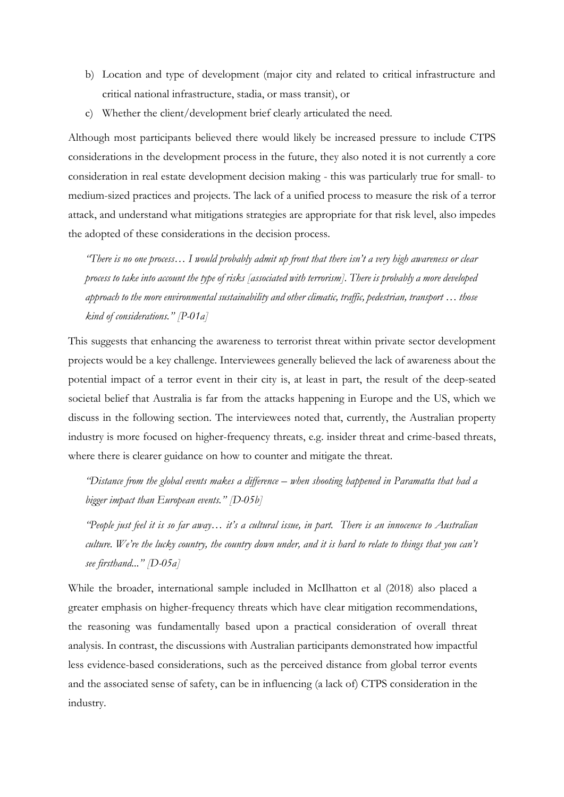- b) Location and type of development (major city and related to critical infrastructure and critical national infrastructure, stadia, or mass transit), or
- c) Whether the client/development brief clearly articulated the need.

Although most participants believed there would likely be increased pressure to include CTPS considerations in the development process in the future, they also noted it is not currently a core consideration in real estate development decision making - this was particularly true for small- to medium-sized practices and projects. The lack of a unified process to measure the risk of a terror attack, and understand what mitigations strategies are appropriate for that risk level, also impedes the adopted of these considerations in the decision process.

*"There is no one process… I would probably admit up front that there isn't a very high awareness or clear process to take into account the type of risks [associated with terrorism]. There is probably a more developed approach to the more environmental sustainability and other climatic, traffic, pedestrian, transport … those kind of considerations." [P-01a]*

This suggests that enhancing the awareness to terrorist threat within private sector development projects would be a key challenge. Interviewees generally believed the lack of awareness about the potential impact of a terror event in their city is, at least in part, the result of the deep-seated societal belief that Australia is far from the attacks happening in Europe and the US, which we discuss in the following section. The interviewees noted that, currently, the Australian property industry is more focused on higher-frequency threats, e.g. insider threat and crime-based threats, where there is clearer guidance on how to counter and mitigate the threat.

*"Distance from the global events makes a difference – when shooting happened in Paramatta that had a bigger impact than European events." [D-05b]*

*"People just feel it is so far away… it's a cultural issue, in part. There is an innocence to Australian culture. We're the lucky country, the country down under, and it is hard to relate to things that you can't see firsthand..." [D-05a]*

While the broader, international sample included in McIlhatton et al (2018) also placed a greater emphasis on higher-frequency threats which have clear mitigation recommendations, the reasoning was fundamentally based upon a practical consideration of overall threat analysis. In contrast, the discussions with Australian participants demonstrated how impactful less evidence-based considerations, such as the perceived distance from global terror events and the associated sense of safety, can be in influencing (a lack of) CTPS consideration in the industry.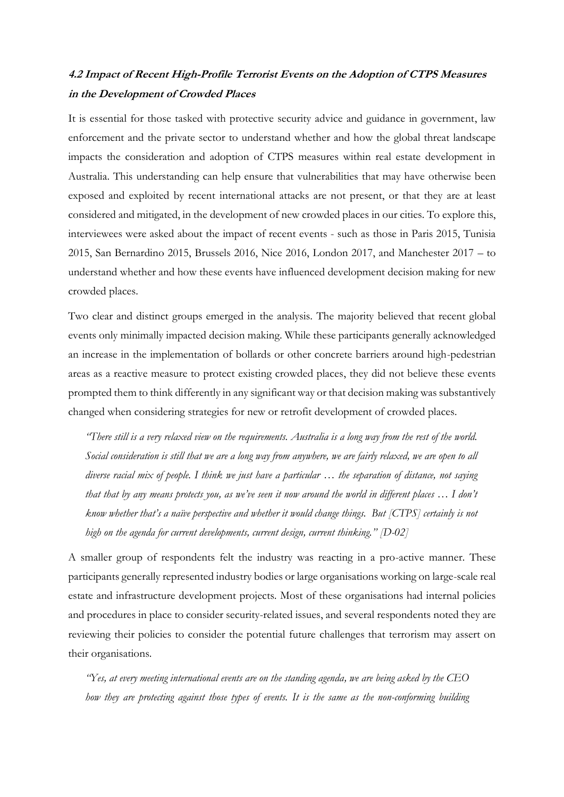# **4.2 Impact of Recent High-Profile Terrorist Events on the Adoption of CTPS Measures in the Development of Crowded Places**

It is essential for those tasked with protective security advice and guidance in government, law enforcement and the private sector to understand whether and how the global threat landscape impacts the consideration and adoption of CTPS measures within real estate development in Australia. This understanding can help ensure that vulnerabilities that may have otherwise been exposed and exploited by recent international attacks are not present, or that they are at least considered and mitigated, in the development of new crowded places in our cities. To explore this, interviewees were asked about the impact of recent events - such as those in Paris 2015, Tunisia 2015, San Bernardino 2015, Brussels 2016, Nice 2016, London 2017, and Manchester 2017 – to understand whether and how these events have influenced development decision making for new crowded places.

Two clear and distinct groups emerged in the analysis. The majority believed that recent global events only minimally impacted decision making. While these participants generally acknowledged an increase in the implementation of bollards or other concrete barriers around high-pedestrian areas as a reactive measure to protect existing crowded places, they did not believe these events prompted them to think differently in any significant way or that decision making was substantively changed when considering strategies for new or retrofit development of crowded places.

*"There still is a very relaxed view on the requirements. Australia is a long way from the rest of the world. Social consideration is still that we are a long way from anywhere, we are fairly relaxed, we are open to all diverse racial mix of people. I think we just have a particular … the separation of distance, not saying that that by any means protects you, as we've seen it now around the world in different places … I don't know whether that's a naïve perspective and whether it would change things. But [CTPS] certainly is not high on the agenda for current developments, current design, current thinking." [D-02]*

A smaller group of respondents felt the industry was reacting in a pro-active manner. These participants generally represented industry bodies or large organisations working on large-scale real estate and infrastructure development projects. Most of these organisations had internal policies and procedures in place to consider security-related issues, and several respondents noted they are reviewing their policies to consider the potential future challenges that terrorism may assert on their organisations.

*"Yes, at every meeting international events are on the standing agenda, we are being asked by the CEO how they are protecting against those types of events. It is the same as the non-conforming building*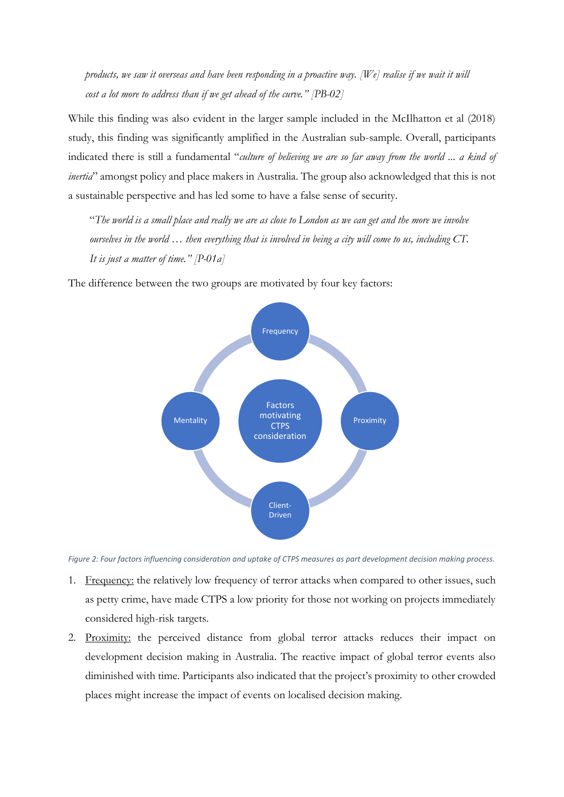*products, we saw it overseas and have been responding in a proactive way. [We] realise if we wait it will cost a lot more to address than if we get ahead of the curve." [PB-02]*

While this finding was also evident in the larger sample included in the McIlhatton et al (2018) study, this finding was significantly amplified in the Australian sub-sample. Overall, participants indicated there is still a fundamental "*culture of believing we are so far away from the world ... a kind of inertia*" amongst policy and place makers in Australia. The group also acknowledged that this is not a sustainable perspective and has led some to have a false sense of security*.*

"*The world is a small place and really we are as close to London as we can get and the more we involve ourselves in the world … then everything that is involved in being a city will come to us, including CT. It is just a matter of time." [P-01a]*

The difference between the two groups are motivated by four key factors:



*Figure 2: Four factors influencing consideration and uptake of CTPS measures as part development decision making process.*

- 1. Frequency: the relatively low frequency of terror attacks when compared to other issues, such as petty crime, have made CTPS a low priority for those not working on projects immediately considered high-risk targets.
- 2. Proximity: the perceived distance from global terror attacks reduces their impact on development decision making in Australia. The reactive impact of global terror events also diminished with time. Participants also indicated that the project's proximity to other crowded places might increase the impact of events on localised decision making.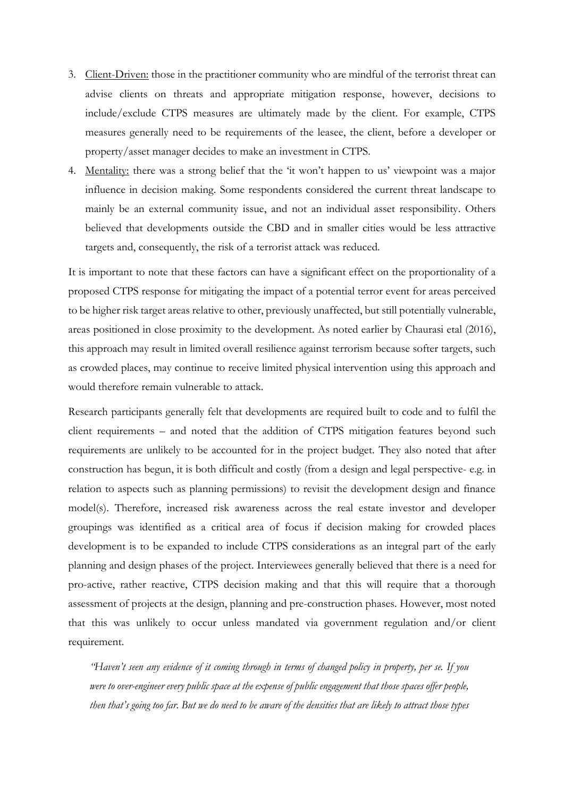- 3. Client-Driven: those in the practitioner community who are mindful of the terrorist threat can advise clients on threats and appropriate mitigation response, however, decisions to include/exclude CTPS measures are ultimately made by the client. For example, CTPS measures generally need to be requirements of the leasee, the client, before a developer or property/asset manager decides to make an investment in CTPS.
- 4. Mentality: there was a strong belief that the 'it won't happen to us' viewpoint was a major influence in decision making. Some respondents considered the current threat landscape to mainly be an external community issue, and not an individual asset responsibility. Others believed that developments outside the CBD and in smaller cities would be less attractive targets and, consequently, the risk of a terrorist attack was reduced.

It is important to note that these factors can have a significant effect on the proportionality of a proposed CTPS response for mitigating the impact of a potential terror event for areas perceived to be higher risk target areas relative to other, previously unaffected, but still potentially vulnerable, areas positioned in close proximity to the development. As noted earlier by Chaurasi etal (2016), this approach may result in limited overall resilience against terrorism because softer targets, such as crowded places, may continue to receive limited physical intervention using this approach and would therefore remain vulnerable to attack.

Research participants generally felt that developments are required built to code and to fulfil the client requirements – and noted that the addition of CTPS mitigation features beyond such requirements are unlikely to be accounted for in the project budget. They also noted that after construction has begun, it is both difficult and costly (from a design and legal perspective- e.g. in relation to aspects such as planning permissions) to revisit the development design and finance model(s). Therefore, increased risk awareness across the real estate investor and developer groupings was identified as a critical area of focus if decision making for crowded places development is to be expanded to include CTPS considerations as an integral part of the early planning and design phases of the project. Interviewees generally believed that there is a need for pro-active, rather reactive, CTPS decision making and that this will require that a thorough assessment of projects at the design, planning and pre-construction phases. However, most noted that this was unlikely to occur unless mandated via government regulation and/or client requirement.

*"Haven't seen any evidence of it coming through in terms of changed policy in property, per se. If you were to over-engineer every public space at the expense of public engagement that those spaces offer people, then that's going too far. But we do need to be aware of the densities that are likely to attract those types*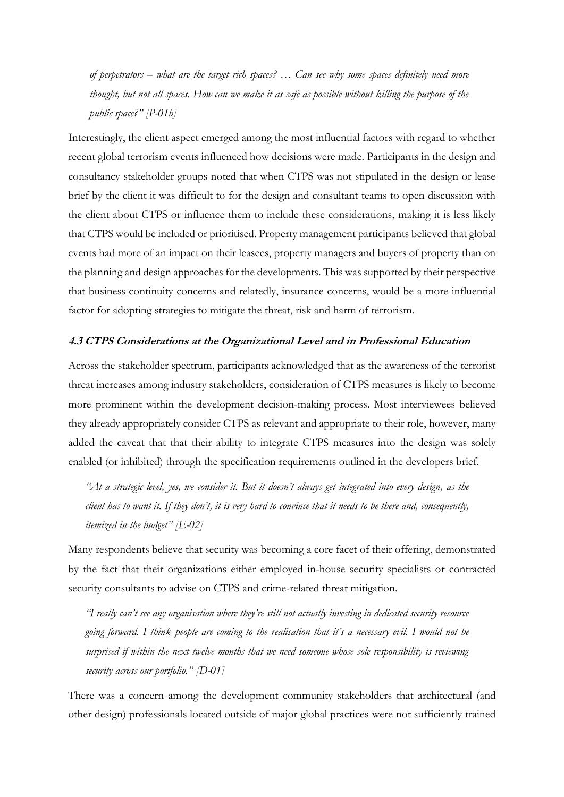*of perpetrators – what are the target rich spaces? … Can see why some spaces definitely need more thought, but not all spaces. How can we make it as safe as possible without killing the purpose of the public space?" [P-01b]*

Interestingly, the client aspect emerged among the most influential factors with regard to whether recent global terrorism events influenced how decisions were made. Participants in the design and consultancy stakeholder groups noted that when CTPS was not stipulated in the design or lease brief by the client it was difficult to for the design and consultant teams to open discussion with the client about CTPS or influence them to include these considerations, making it is less likely that CTPS would be included or prioritised. Property management participants believed that global events had more of an impact on their leasees, property managers and buyers of property than on the planning and design approaches for the developments. This was supported by their perspective that business continuity concerns and relatedly, insurance concerns, would be a more influential factor for adopting strategies to mitigate the threat, risk and harm of terrorism.

## **4.3 CTPS Considerations at the Organizational Level and in Professional Education**

Across the stakeholder spectrum, participants acknowledged that as the awareness of the terrorist threat increases among industry stakeholders, consideration of CTPS measures is likely to become more prominent within the development decision-making process. Most interviewees believed they already appropriately consider CTPS as relevant and appropriate to their role, however, many added the caveat that that their ability to integrate CTPS measures into the design was solely enabled (or inhibited) through the specification requirements outlined in the developers brief.

*"At a strategic level, yes, we consider it. But it doesn't always get integrated into every design, as the client has to want it. If they don't, it is very hard to convince that it needs to be there and, consequently, itemized in the budget" [E-02]*

Many respondents believe that security was becoming a core facet of their offering, demonstrated by the fact that their organizations either employed in-house security specialists or contracted security consultants to advise on CTPS and crime-related threat mitigation.

*"I really can't see any organisation where they're still not actually investing in dedicated security resource going forward. I think people are coming to the realisation that it's a necessary evil. I would not be surprised if within the next twelve months that we need someone whose sole responsibility is reviewing security across our portfolio." [D-01]*

There was a concern among the development community stakeholders that architectural (and other design) professionals located outside of major global practices were not sufficiently trained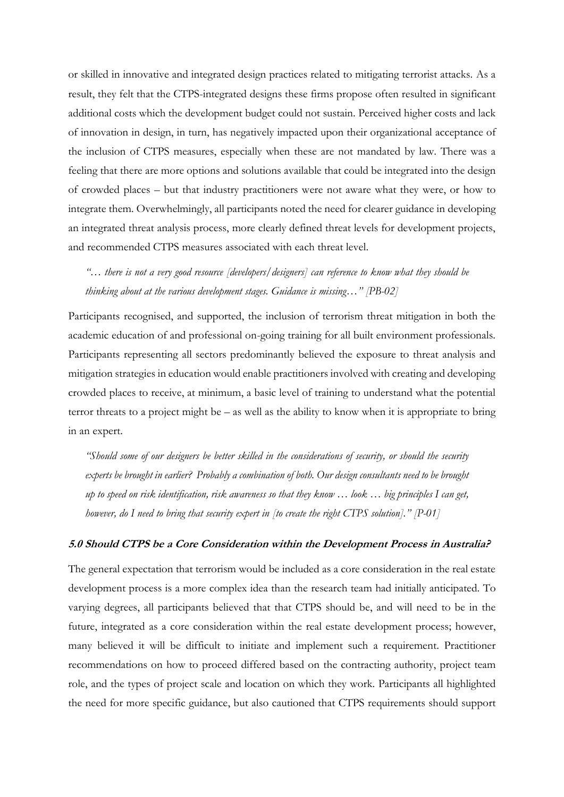or skilled in innovative and integrated design practices related to mitigating terrorist attacks. As a result, they felt that the CTPS-integrated designs these firms propose often resulted in significant additional costs which the development budget could not sustain. Perceived higher costs and lack of innovation in design, in turn, has negatively impacted upon their organizational acceptance of the inclusion of CTPS measures, especially when these are not mandated by law. There was a feeling that there are more options and solutions available that could be integrated into the design of crowded places – but that industry practitioners were not aware what they were, or how to integrate them. Overwhelmingly, all participants noted the need for clearer guidance in developing an integrated threat analysis process, more clearly defined threat levels for development projects, and recommended CTPS measures associated with each threat level.

*"… there is not a very good resource [developers/designers] can reference to know what they should be thinking about at the various development stages. Guidance is missing…" [PB-02]*

Participants recognised, and supported, the inclusion of terrorism threat mitigation in both the academic education of and professional on-going training for all built environment professionals. Participants representing all sectors predominantly believed the exposure to threat analysis and mitigation strategies in education would enable practitioners involved with creating and developing crowded places to receive, at minimum, a basic level of training to understand what the potential terror threats to a project might be – as well as the ability to know when it is appropriate to bring in an expert.

*"Should some of our designers be better skilled in the considerations of security, or should the security experts be brought in earlier? Probably a combination of both. Our design consultants need to be brought up to speed on risk identification, risk awareness so that they know … look … big principles I can get, however, do I need to bring that security expert in [to create the right CTPS solution]." [P-01]*

### **5.0 Should CTPS be a Core Consideration within the Development Process in Australia?**

The general expectation that terrorism would be included as a core consideration in the real estate development process is a more complex idea than the research team had initially anticipated. To varying degrees, all participants believed that that CTPS should be, and will need to be in the future, integrated as a core consideration within the real estate development process; however, many believed it will be difficult to initiate and implement such a requirement. Practitioner recommendations on how to proceed differed based on the contracting authority, project team role, and the types of project scale and location on which they work. Participants all highlighted the need for more specific guidance, but also cautioned that CTPS requirements should support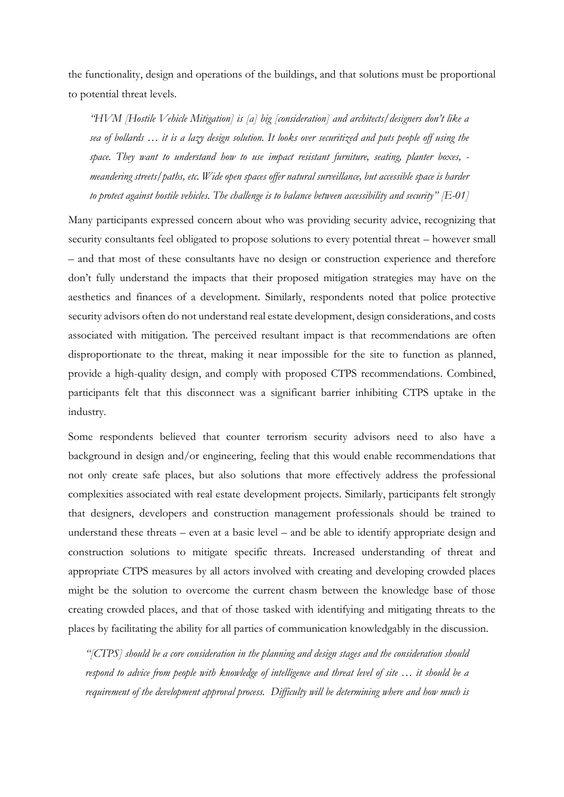the functionality, design and operations of the buildings, and that solutions must be proportional to potential threat levels.

*"HVM [Hostile Vehicle Mitigation] is [a] big [consideration] and architects/designers don't like a sea of bollards … it is a lazy design solution. It looks over securitized and puts people off using the space. They want to understand how to use impact resistant furniture, seating, planter boxes, meandering streets/paths, etc. Wide open spaces offer natural surveillance, but accessible space is harder to protect against hostile vehicles. The challenge is to balance between accessibility and security" [E-01]*

Many participants expressed concern about who was providing security advice, recognizing that security consultants feel obligated to propose solutions to every potential threat – however small – and that most of these consultants have no design or construction experience and therefore don't fully understand the impacts that their proposed mitigation strategies may have on the aesthetics and finances of a development. Similarly, respondents noted that police protective security advisors often do not understand real estate development, design considerations, and costs associated with mitigation. The perceived resultant impact is that recommendations are often disproportionate to the threat, making it near impossible for the site to function as planned, provide a high-quality design, and comply with proposed CTPS recommendations. Combined, participants felt that this disconnect was a significant barrier inhibiting CTPS uptake in the industry.

Some respondents believed that counter terrorism security advisors need to also have a background in design and/or engineering, feeling that this would enable recommendations that not only create safe places, but also solutions that more effectively address the professional complexities associated with real estate development projects. Similarly, participants felt strongly that designers, developers and construction management professionals should be trained to understand these threats – even at a basic level – and be able to identify appropriate design and construction solutions to mitigate specific threats. Increased understanding of threat and appropriate CTPS measures by all actors involved with creating and developing crowded places might be the solution to overcome the current chasm between the knowledge base of those creating crowded places, and that of those tasked with identifying and mitigating threats to the places by facilitating the ability for all parties of communication knowledgably in the discussion.

*"[CTPS] should be a core consideration in the planning and design stages and the consideration should respond to advice from people with knowledge of intelligence and threat level of site … it should be a requirement of the development approval process. Difficulty will be determining where and how much is*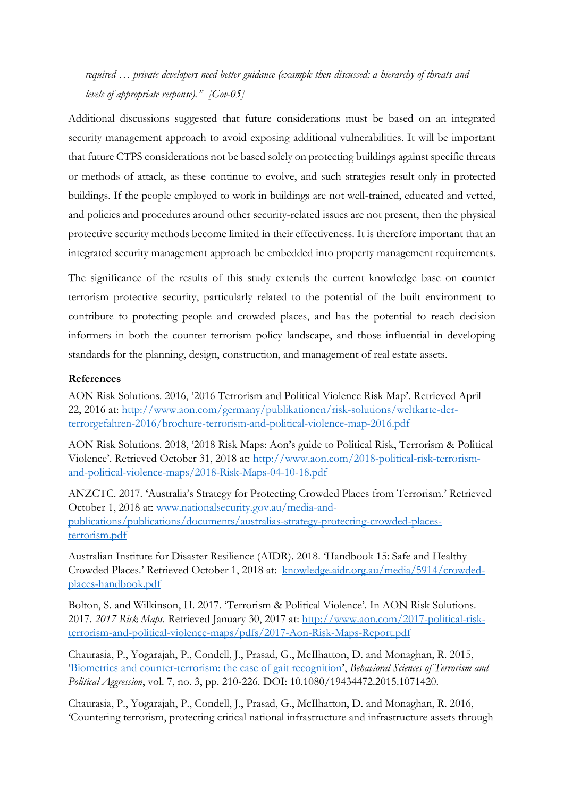*required … private developers need better guidance (example then discussed: a hierarchy of threats and levels of appropriate response)." [Gov-05]*

Additional discussions suggested that future considerations must be based on an integrated security management approach to avoid exposing additional vulnerabilities. It will be important that future CTPS considerations not be based solely on protecting buildings against specific threats or methods of attack, as these continue to evolve, and such strategies result only in protected buildings. If the people employed to work in buildings are not well-trained, educated and vetted, and policies and procedures around other security-related issues are not present, then the physical protective security methods become limited in their effectiveness. It is therefore important that an integrated security management approach be embedded into property management requirements.

The significance of the results of this study extends the current knowledge base on counter terrorism protective security, particularly related to the potential of the built environment to contribute to protecting people and crowded places, and has the potential to reach decision informers in both the counter terrorism policy landscape, and those influential in developing standards for the planning, design, construction, and management of real estate assets.

#### **References**

AON Risk Solutions. 2016, '2016 Terrorism and Political Violence Risk Map'. Retrieved April 22, 2016 at: [http://www.aon.com/germany/publikationen/risk-solutions/weltkarte-der](http://www.aon.com/germany/publikationen/risk-solutions/weltkarte-der-terrorgefahren-2016/brochure-terrorism-and-political-violence-map-2016.pdf)[terrorgefahren-2016/brochure-terrorism-and-political-violence-map-2016.pdf](http://www.aon.com/germany/publikationen/risk-solutions/weltkarte-der-terrorgefahren-2016/brochure-terrorism-and-political-violence-map-2016.pdf)

AON Risk Solutions. 2018, '2018 Risk Maps: Aon's guide to Political Risk, Terrorism & Political Violence'. Retrieved October 31, 2018 at: http://www.aon.com/2018-political-risk-terrorismand-political-violence-maps/2018-Risk-Maps-04-10-18.pdf

ANZCTC. 2017. 'Australia's Strategy for Protecting Crowded Places from Terrorism.' Retrieved October 1, 2018 at: [www.nationalsecurity.gov.au/media-and](http://www.nationalsecurity.gov.au/media-and-publications/publications/documents/australias-strategy-protecting-crowded-places-terrorism.pdf)[publications/publications/documents/australias-strategy-protecting-crowded-places](http://www.nationalsecurity.gov.au/media-and-publications/publications/documents/australias-strategy-protecting-crowded-places-terrorism.pdf)[terrorism.pdf](http://www.nationalsecurity.gov.au/media-and-publications/publications/documents/australias-strategy-protecting-crowded-places-terrorism.pdf)

Australian Institute for Disaster Resilience (AIDR). 2018. 'Handbook 15: Safe and Healthy Crowded Places.' Retrieved October 1, 2018 at: [knowledge.aidr.org.au/media/5914/crowded](https://knowledge.aidr.org.au/media/5914/crowded-places-handbook.pdf)[places-handbook.pdf](https://knowledge.aidr.org.au/media/5914/crowded-places-handbook.pdf)

Bolton, S. and Wilkinson, H. 2017. 'Terrorism & Political Violence'. In AON Risk Solutions. 2017. *2017 Risk Maps.* Retrieved January 30, 2017 at: [http://www.aon.com/2017-political-risk](http://www.aon.com/2017-political-risk-terrorism-and-political-violence-maps/pdfs/2017-Aon-Risk-Maps-Report.pdf)[terrorism-and-political-violence-maps/pdfs/2017-Aon-Risk-Maps-Report.pdf](http://www.aon.com/2017-political-risk-terrorism-and-political-violence-maps/pdfs/2017-Aon-Risk-Maps-Report.pdf)

Chaurasia, P., Yogarajah, P., Condell, J., Prasad, G., McIlhatton, D. and Monaghan, R. 2015, '[Biometrics and counter-terrorism: the case of gait recognition](http://uir.ulster.ac.uk/32382)', *Behavioral Sciences of Terrorism and Political Aggression*, vol. 7, no. 3, pp. 210-226. DOI: 10.1080/19434472.2015.1071420.

Chaurasia, P., Yogarajah, P., Condell, J., Prasad, G., McIlhatton, D. and Monaghan, R. 2016, 'Countering terrorism, protecting critical national infrastructure and infrastructure assets through